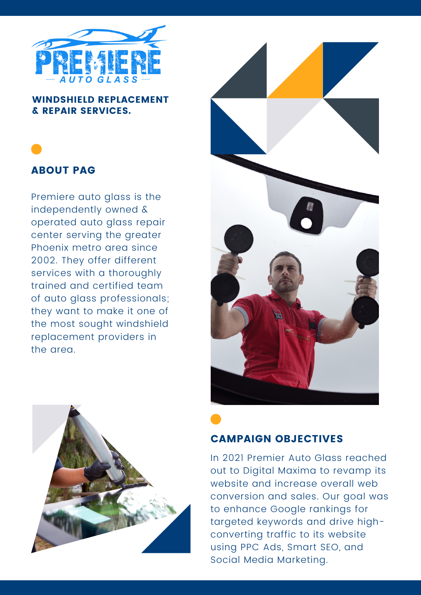

#### WINDSHIELD REPLACEMENT & REPAIR SERVICES.



# ABOUT PAG

Premiere auto glass is the independently owned & operated auto glass repair center serving the greater Phoenix metro area since 2002. They offer different services with a thoroughly trained and certified team of auto glass professionals; they want to make it one of the most sought windshield replacement providers in the area.





# CAMPAIGN OBJECTIVES

In 2021 Premier Auto Glass reached out to Digital Maxima to revamp its website and increase overall web conversion and sales. Our goal was to enhance Google rankings for targeted keywords and drive highconverting traffic to its website using PPC Ads, Smart SEO, and Social Media Marketing.